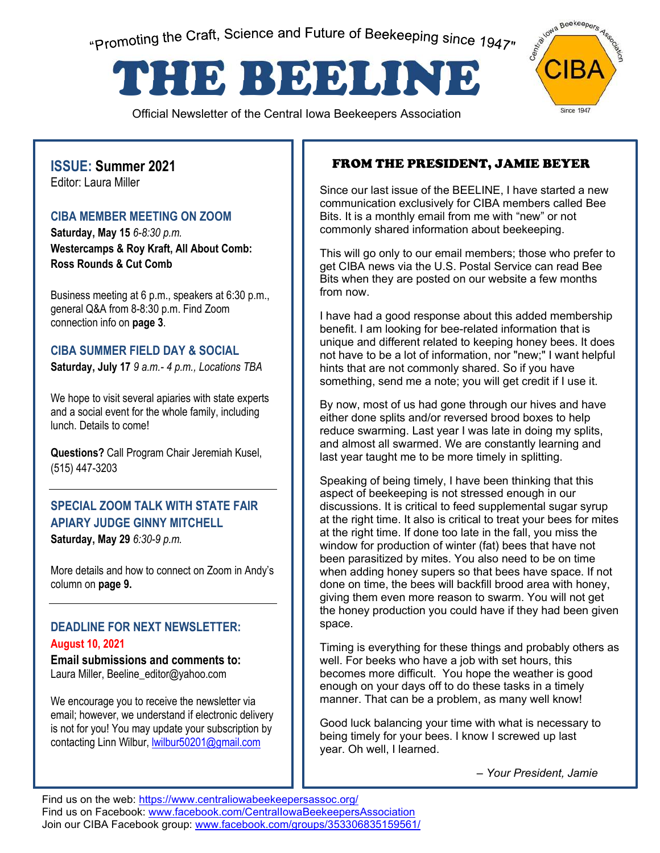"Promoting the Craft, Science and Future of Beekeeping since 1947"

# THE BEELINE

Official Newsletter of the Central Iowa Beekeepers Association



#### **ISSUE: Summer 2021**  Editor: Laura Miller

#### **CIBA MEMBER MEETING ON ZOOM**

**Saturday, May 15** *6-8:30 p.m.* **Westercamps & Roy Kraft, All About Comb: Ross Rounds & Cut Comb**

Business meeting at 6 p.m., speakers at 6:30 p.m., general Q&A from 8-8:30 p.m. Find Zoom connection info on **page 3**.

### **CIBA SUMMER FIELD DAY & SOCIAL**

**Saturday, July 17** *9 a.m.- 4 p.m., Locations TBA*

We hope to visit several apiaries with state experts and a social event for the whole family, including lunch. Details to come!

**Questions?** Call Program Chair Jeremiah Kusel, (515) 447-3203

# **SPECIAL ZOOM TALK WITH STATE FAIR APIARY JUDGE GINNY MITCHELL**

**Saturday, May 29** *6:30-9 p.m.*

More details and how to connect on Zoom in Andy's column on **page 9.**

#### **DEADLINE FOR NEXT NEWSLETTER: August 10, 2021**

**Email submissions and comments to:**  Laura Miller, Beeline\_editor@yahoo.com

We encourage you to receive the newsletter via email; however, we understand if electronic delivery is not for you! You may update your subscription by contacting Linn Wilbur, lwilbur50201@gmail.com

## FROM THE PRESIDENT, JAMIE BEYER

Since our last issue of the BEELINE, I have started a new communication exclusively for CIBA members called Bee Bits. It is a monthly email from me with "new" or not commonly shared information about beekeeping.

This will go only to our email members; those who prefer to get CIBA news via the U.S. Postal Service can read Bee Bits when they are posted on our website a few months from now.

I have had a good response about this added membership benefit. I am looking for bee-related information that is unique and different related to keeping honey bees. It does not have to be a lot of information, nor "new;" I want helpful hints that are not commonly shared. So if you have something, send me a note; you will get credit if I use it.

By now, most of us had gone through our hives and have either done splits and/or reversed brood boxes to help reduce swarming. Last year I was late in doing my splits, and almost all swarmed. We are constantly learning and last year taught me to be more timely in splitting.

Speaking of being timely, I have been thinking that this aspect of beekeeping is not stressed enough in our discussions. It is critical to feed supplemental sugar syrup at the right time. It also is critical to treat your bees for mites at the right time. If done too late in the fall, you miss the window for production of winter (fat) bees that have not been parasitized by mites. You also need to be on time when adding honey supers so that bees have space. If not done on time, the bees will backfill brood area with honey, giving them even more reason to swarm. You will not get the honey production you could have if they had been given space.

Timing is everything for these things and probably others as well. For beeks who have a job with set hours, this becomes more difficult. You hope the weather is good enough on your days off to do these tasks in a timely manner. That can be a problem, as many well know!

Good luck balancing your time with what is necessary to being timely for your bees. I know I screwed up last year. Oh well, I learned.

*– Your President, Jamie*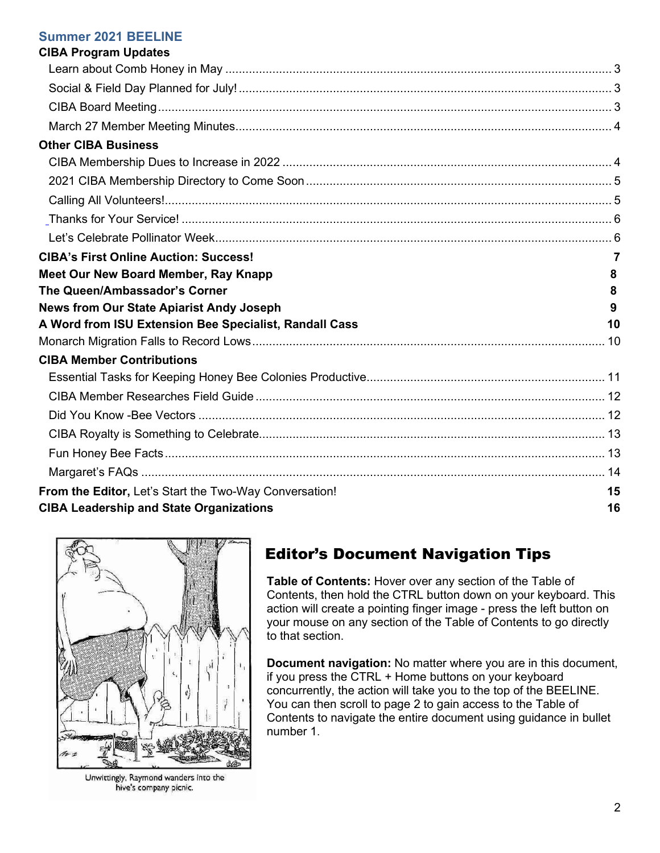#### **Summer 2021 BEELINE**

| <b>CIBA Program Updates</b>                            |    |  |
|--------------------------------------------------------|----|--|
|                                                        |    |  |
|                                                        |    |  |
|                                                        |    |  |
|                                                        |    |  |
| <b>Other CIBA Business</b>                             |    |  |
|                                                        |    |  |
|                                                        |    |  |
|                                                        |    |  |
|                                                        |    |  |
|                                                        |    |  |
| <b>CIBA's First Online Auction: Success!</b>           | 7  |  |
| Meet Our New Board Member, Ray Knapp                   | 8  |  |
| The Queen/Ambassador's Corner                          | 8  |  |
| <b>News from Our State Apiarist Andy Joseph</b>        | 9  |  |
| A Word from ISU Extension Bee Specialist, Randall Cass | 10 |  |
|                                                        |    |  |
| <b>CIBA Member Contributions</b>                       |    |  |
|                                                        |    |  |
|                                                        |    |  |
|                                                        |    |  |
|                                                        |    |  |
|                                                        |    |  |
|                                                        |    |  |
| From the Editor, Let's Start the Two-Way Conversation! | 15 |  |
| <b>CIBA Leadership and State Organizations</b>         |    |  |



Unwittingly, Raymond wanders into the hive's company picnic.

# Editor's Document Navigation Tips

**Table of Contents:** Hover over any section of the Table of Contents, then hold the CTRL button down on your keyboard. This action will create a pointing finger image - press the left button on your mouse on any section of the Table of Contents to go directly to that section.

**Document navigation:** No matter where you are in this document, if you press the CTRL + Home buttons on your keyboard concurrently, the action will take you to the top of the BEELINE. You can then scroll to page 2 to gain access to the Table of Contents to navigate the entire document using guidance in bullet number 1.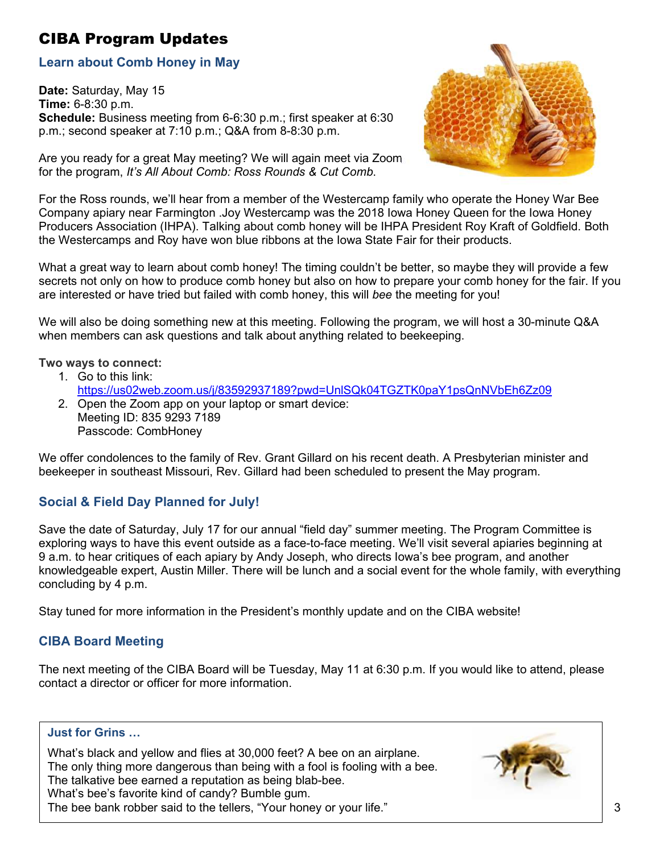# <span id="page-2-0"></span>CIBA Program Updates

### <span id="page-2-1"></span>**Learn about Comb Honey in May**

**Date:** Saturday, May 15 **Time:** 6-8:30 p.m. **Schedule:** Business meeting from 6-6:30 p.m.; first speaker at 6:30 p.m.; second speaker at 7:10 p.m.; Q&A from 8-8:30 p.m.

Are you ready for a great May meeting? We will again meet via Zoom for the program, *It's All About Comb: Ross Rounds & Cut Comb*.



For the Ross rounds, we'll hear from a member of the Westercamp family who operate the Honey War Bee Company apiary near Farmington .Joy Westercamp was the 2018 Iowa Honey Queen for the Iowa Honey Producers Association (IHPA). Talking about comb honey will be IHPA President Roy Kraft of Goldfield. Both the Westercamps and Roy have won blue ribbons at the Iowa State Fair for their products.

What a great way to learn about comb honey! The timing couldn't be better, so maybe they will provide a few secrets not only on how to produce comb honey but also on how to prepare your comb honey for the fair. If you are interested or have tried but failed with comb honey, this will *bee* the meeting for you!

We will also be doing something new at this meeting. Following the program, we will host a 30-minute Q&A when members can ask questions and talk about anything related to beekeeping.

#### **Two ways to connect:**

- 1. Go to this link:
- <https://us02web.zoom.us/j/83592937189?pwd=UnlSQk04TGZTK0paY1psQnNVbEh6Zz09>
- 2. Open the Zoom app on your laptop or smart device: Meeting ID: 835 9293 7189 Passcode: CombHoney

We offer condolences to the family of Rev. Grant Gillard on his recent death. A Presbyterian minister and beekeeper in southeast Missouri, Rev. Gillard had been scheduled to present the May program.

## <span id="page-2-2"></span>**Social & Field Day Planned for July!**

Save the date of Saturday, July 17 for our annual "field day" summer meeting. The Program Committee is exploring ways to have this event outside as a face-to-face meeting. We'll visit several apiaries beginning at 9 a.m. to hear critiques of each apiary by Andy Joseph, who directs Iowa's bee program, and another knowledgeable expert, Austin Miller. There will be lunch and a social event for the whole family, with everything concluding by 4 p.m.

Stay tuned for more information in the President's monthly update and on the CIBA website!

#### <span id="page-2-3"></span>**CIBA Board Meeting**

The next meeting of the CIBA Board will be Tuesday, May 11 at 6:30 p.m. If you would like to attend, please contact a director or officer for more information.

#### **Just for Grins …**

What's black and yellow and flies at 30,000 feet? A bee on an airplane. The only thing more dangerous than being with a fool is fooling with a bee. The talkative bee earned a reputation as being blab-bee. What's bee's favorite kind of candy? Bumble gum. The bee bank robber said to the tellers, "Your honey or your life."

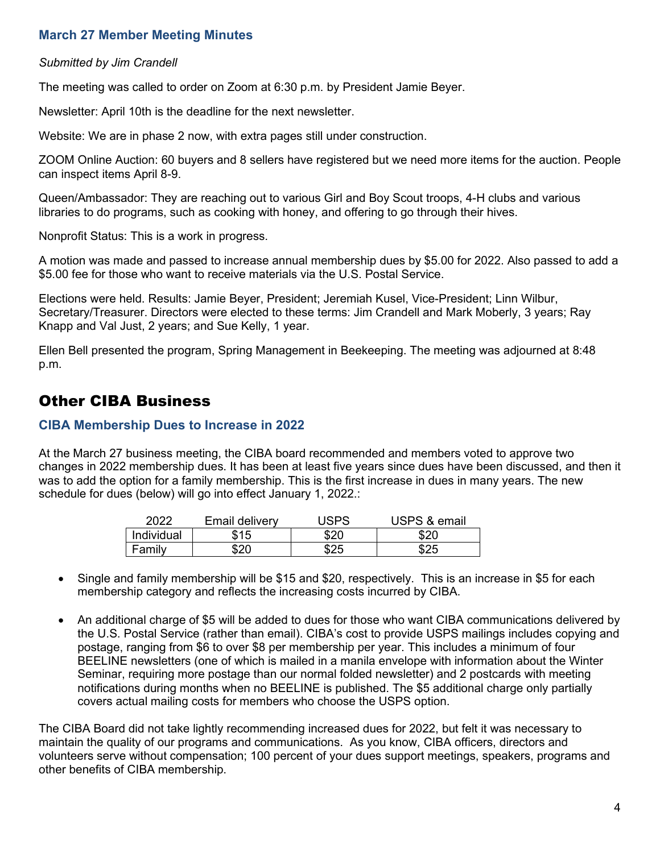## <span id="page-3-0"></span>**March 27 Member Meeting Minutes**

#### *Submitted by Jim Crandell*

The meeting was called to order on Zoom at 6:30 p.m. by President Jamie Beyer.

Newsletter: April 10th is the deadline for the next newsletter.

Website: We are in phase 2 now, with extra pages still under construction.

ZOOM Online Auction: 60 buyers and 8 sellers have registered but we need more items for the auction. People can inspect items April 8-9.

Queen/Ambassador: They are reaching out to various Girl and Boy Scout troops, 4-H clubs and various libraries to do programs, such as cooking with honey, and offering to go through their hives.

Nonprofit Status: This is a work in progress.

A motion was made and passed to increase annual membership dues by \$5.00 for 2022. Also passed to add a \$5.00 fee for those who want to receive materials via the U.S. Postal Service.

Elections were held. Results: Jamie Beyer, President; Jeremiah Kusel, Vice-President; Linn Wilbur, Secretary/Treasurer. Directors were elected to these terms: Jim Crandell and Mark Moberly, 3 years; Ray Knapp and Val Just, 2 years; and Sue Kelly, 1 year.

Ellen Bell presented the program, Spring Management in Beekeeping. The meeting was adjourned at 8:48 p.m.

## <span id="page-3-1"></span>Other CIBA Business

#### <span id="page-3-2"></span>**CIBA Membership Dues to Increase in 2022**

At the March 27 business meeting, the CIBA board recommended and members voted to approve two changes in 2022 membership dues. It has been at least five years since dues have been discussed, and then it was to add the option for a family membership. This is the first increase in dues in many years. The new schedule for dues (below) will go into effect January 1, 2022.:

| 2022       | Email delivery | <b>JSPS</b> | USPS & email |
|------------|----------------|-------------|--------------|
| Individual | \$15           | \$20        | tor          |
| Family     | ድጋበ            | COL         | よつに          |

- Single and family membership will be \$15 and \$20, respectively. This is an increase in \$5 for each membership category and reflects the increasing costs incurred by CIBA.
- An additional charge of \$5 will be added to dues for those who want CIBA communications delivered by the U.S. Postal Service (rather than email). CIBA's cost to provide USPS mailings includes copying and postage, ranging from \$6 to over \$8 per membership per year. This includes a minimum of four BEELINE newsletters (one of which is mailed in a manila envelope with information about the Winter Seminar, requiring more postage than our normal folded newsletter) and 2 postcards with meeting notifications during months when no BEELINE is published. The \$5 additional charge only partially covers actual mailing costs for members who choose the USPS option.

The CIBA Board did not take lightly recommending increased dues for 2022, but felt it was necessary to maintain the quality of our programs and communications. As you know, CIBA officers, directors and volunteers serve without compensation; 100 percent of your dues support meetings, speakers, programs and other benefits of CIBA membership.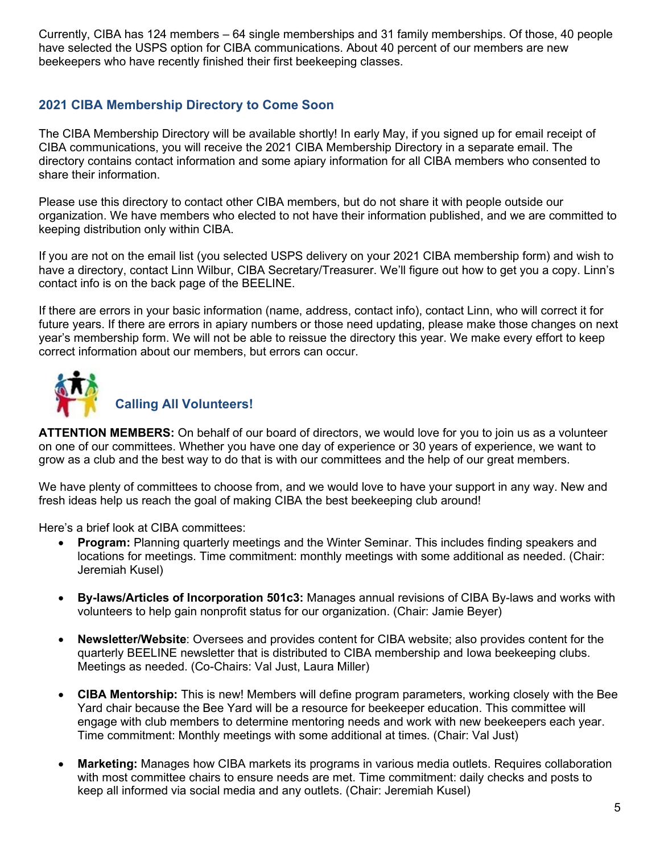Currently, CIBA has 124 members – 64 single memberships and 31 family memberships. Of those, 40 people have selected the USPS option for CIBA communications. About 40 percent of our members are new beekeepers who have recently finished their first beekeeping classes.

## <span id="page-4-0"></span>**2021 CIBA Membership Directory to Come Soon**

The CIBA Membership Directory will be available shortly! In early May, if you signed up for email receipt of CIBA communications, you will receive the 2021 CIBA Membership Directory in a separate email. The directory contains contact information and some apiary information for all CIBA members who consented to share their information.

Please use this directory to contact other CIBA members, but do not share it with people outside our organization. We have members who elected to not have their information published, and we are committed to keeping distribution only within CIBA.

If you are not on the email list (you selected USPS delivery on your 2021 CIBA membership form) and wish to have a directory, contact Linn Wilbur, CIBA Secretary/Treasurer. We'll figure out how to get you a copy. Linn's contact info is on the back page of the BEELINE.

If there are errors in your basic information (name, address, contact info), contact Linn, who will correct it for future years. If there are errors in apiary numbers or those need updating, please make those changes on next year's membership form. We will not be able to reissue the directory this year. We make every effort to keep correct information about our members, but errors can occur.

<span id="page-4-1"></span>

**ATTENTION MEMBERS:** On behalf of our board of directors, we would love for you to join us as a volunteer on one of our committees. Whether you have one day of experience or 30 years of experience, we want to grow as a club and the best way to do that is with our committees and the help of our great members.

We have plenty of committees to choose from, and we would love to have your support in any way. New and fresh ideas help us reach the goal of making CIBA the best beekeeping club around!

Here's a brief look at CIBA committees:

- **Program:** Planning quarterly meetings and the Winter Seminar. This includes finding speakers and locations for meetings. Time commitment: monthly meetings with some additional as needed. (Chair: Jeremiah Kusel)
- **By-laws/Articles of Incorporation 501c3:** Manages annual revisions of CIBA By-laws and works with volunteers to help gain nonprofit status for our organization. (Chair: Jamie Beyer)
- **Newsletter/Website**: Oversees and provides content for CIBA website; also provides content for the quarterly BEELINE newsletter that is distributed to CIBA membership and Iowa beekeeping clubs. Meetings as needed. (Co-Chairs: Val Just, Laura Miller)
- **CIBA Mentorship:** This is new! Members will define program parameters, working closely with the Bee Yard chair because the Bee Yard will be a resource for beekeeper education. This committee will engage with club members to determine mentoring needs and work with new beekeepers each year. Time commitment: Monthly meetings with some additional at times. (Chair: Val Just)
- **Marketing:** Manages how CIBA markets its programs in various media outlets. Requires collaboration with most committee chairs to ensure needs are met. Time commitment: daily checks and posts to keep all informed via social media and any outlets. (Chair: Jeremiah Kusel)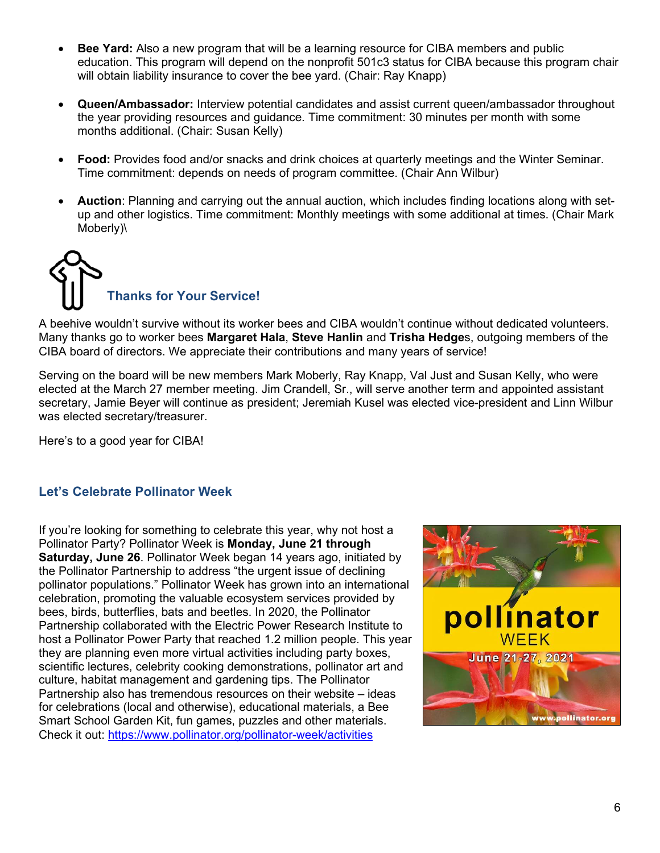- **Bee Yard:** Also a new program that will be a learning resource for CIBA members and public education. This program will depend on the nonprofit 501c3 status for CIBA because this program chair will obtain liability insurance to cover the bee yard. (Chair: Ray Knapp)
- **Queen/Ambassador:** Interview potential candidates and assist current queen/ambassador throughout the year providing resources and guidance. Time commitment: 30 minutes per month with some months additional. (Chair: Susan Kelly)
- **Food:** Provides food and/or snacks and drink choices at quarterly meetings and the Winter Seminar. Time commitment: depends on needs of program committee. (Chair Ann Wilbur)
- **Auction**: Planning and carrying out the annual auction, which includes finding locations along with setup and other logistics. Time commitment: Monthly meetings with some additional at times. (Chair Mark Moberly)\



<span id="page-5-0"></span>A beehive wouldn't survive without its worker bees and CIBA wouldn't continue without dedicated volunteers. Many thanks go to worker bees **Margaret Hala**, **Steve Hanlin** and **Trisha Hedge**s, outgoing members of the CIBA board of directors. We appreciate their contributions and many years of service!

Serving on the board will be new members Mark Moberly, Ray Knapp, Val Just and Susan Kelly, who were elected at the March 27 member meeting. Jim Crandell, Sr., will serve another term and appointed assistant secretary, Jamie Beyer will continue as president; Jeremiah Kusel was elected vice-president and Linn Wilbur was elected secretary/treasurer.

Here's to a good year for CIBA!

## <span id="page-5-1"></span>**Let's Celebrate Pollinator Week**

If you're looking for something to celebrate this year, why not host a Pollinator Party? Pollinator Week is **Monday, June 21 through Saturday, June 26**. Pollinator Week began 14 years ago, initiated by the Pollinator Partnership to address "the urgent issue of declining pollinator populations." Pollinator Week has grown into an international celebration, promoting the valuable ecosystem services provided by bees, birds, butterflies, bats and beetles. In 2020, the Pollinator Partnership collaborated with the Electric Power Research Institute to host a Pollinator Power Party that reached 1.2 million people. This year they are planning even more virtual activities including party boxes, scientific lectures, celebrity cooking demonstrations, pollinator art and culture, habitat management and gardening tips. The Pollinator Partnership also has tremendous resources on their website – ideas for celebrations (local and otherwise), educational materials, a Bee Smart School Garden Kit, fun games, puzzles and other materials. Check it out:<https://www.pollinator.org/pollinator-week/activities>

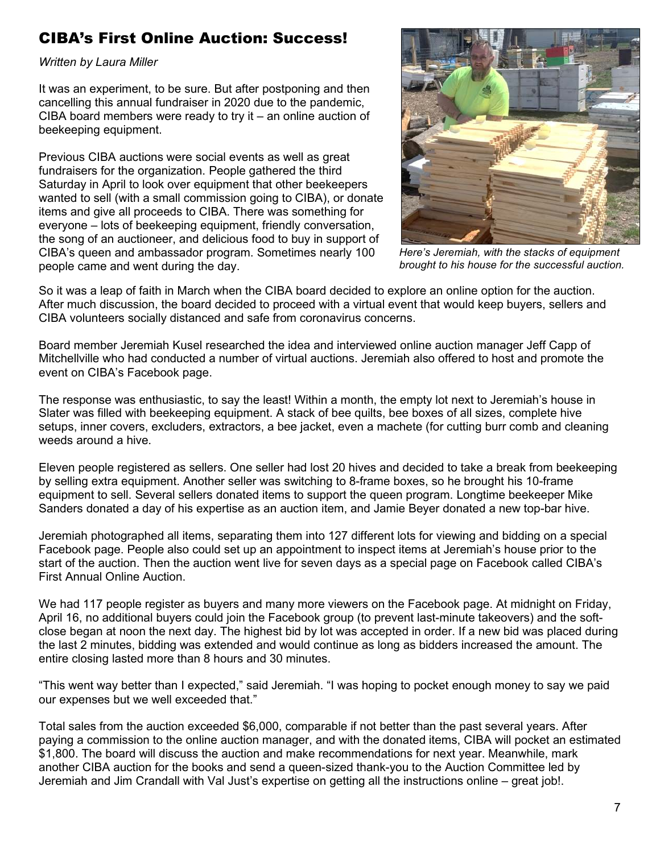# <span id="page-6-0"></span>CIBA's First Online Auction: Success!

*Written by Laura Miller* 

It was an experiment, to be sure. But after postponing and then cancelling this annual fundraiser in 2020 due to the pandemic, CIBA board members were ready to try it – an online auction of beekeeping equipment.

Previous CIBA auctions were social events as well as great fundraisers for the organization. People gathered the third Saturday in April to look over equipment that other beekeepers wanted to sell (with a small commission going to CIBA), or donate items and give all proceeds to CIBA. There was something for everyone – lots of beekeeping equipment, friendly conversation, the song of an auctioneer, and delicious food to buy in support of CIBA's queen and ambassador program. Sometimes nearly 100 people came and went during the day.



*Here's Jeremiah, with the stacks of equipment brought to his house for the successful auction.*

So it was a leap of faith in March when the CIBA board decided to explore an online option for the auction. After much discussion, the board decided to proceed with a virtual event that would keep buyers, sellers and CIBA volunteers socially distanced and safe from coronavirus concerns.

Board member Jeremiah Kusel researched the idea and interviewed online auction manager Jeff Capp of Mitchellville who had conducted a number of virtual auctions. Jeremiah also offered to host and promote the event on CIBA's Facebook page.

The response was enthusiastic, to say the least! Within a month, the empty lot next to Jeremiah's house in Slater was filled with beekeeping equipment. A stack of bee quilts, bee boxes of all sizes, complete hive setups, inner covers, excluders, extractors, a bee jacket, even a machete (for cutting burr comb and cleaning weeds around a hive.

Eleven people registered as sellers. One seller had lost 20 hives and decided to take a break from beekeeping by selling extra equipment. Another seller was switching to 8-frame boxes, so he brought his 10-frame equipment to sell. Several sellers donated items to support the queen program. Longtime beekeeper Mike Sanders donated a day of his expertise as an auction item, and Jamie Beyer donated a new top-bar hive.

Jeremiah photographed all items, separating them into 127 different lots for viewing and bidding on a special Facebook page. People also could set up an appointment to inspect items at Jeremiah's house prior to the start of the auction. Then the auction went live for seven days as a special page on Facebook called CIBA's First Annual Online Auction.

We had 117 people register as buyers and many more viewers on the Facebook page. At midnight on Friday, April 16, no additional buyers could join the Facebook group (to prevent last-minute takeovers) and the softclose began at noon the next day. The highest bid by lot was accepted in order. If a new bid was placed during the last 2 minutes, bidding was extended and would continue as long as bidders increased the amount. The entire closing lasted more than 8 hours and 30 minutes.

"This went way better than I expected," said Jeremiah. "I was hoping to pocket enough money to say we paid our expenses but we well exceeded that."

Total sales from the auction exceeded \$6,000, comparable if not better than the past several years. After paying a commission to the online auction manager, and with the donated items, CIBA will pocket an estimated \$1,800. The board will discuss the auction and make recommendations for next year. Meanwhile, mark another CIBA auction for the books and send a queen-sized thank-you to the Auction Committee led by Jeremiah and Jim Crandall with Val Just's expertise on getting all the instructions online – great job!.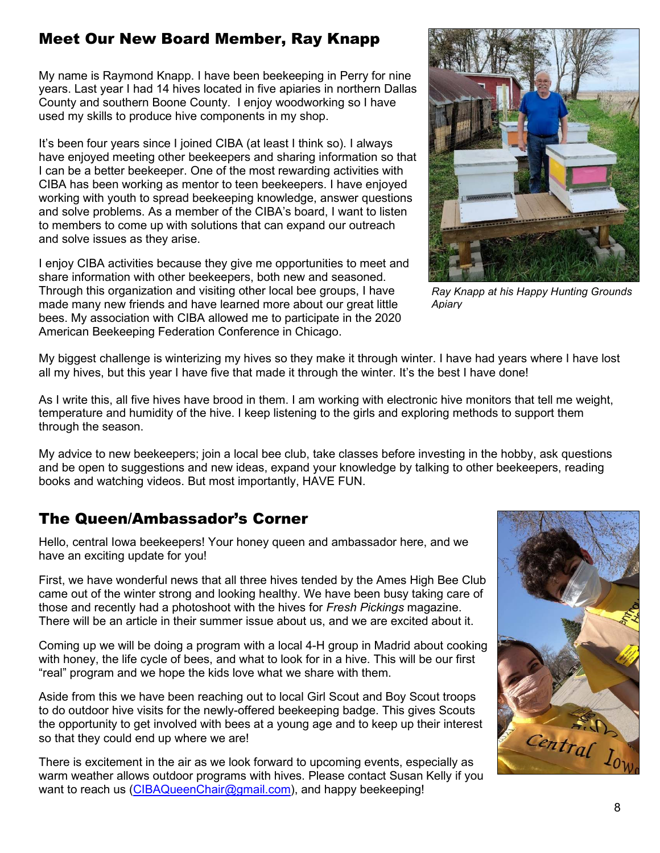# <span id="page-7-0"></span>Meet Our New Board Member, Ray Knapp

My name is Raymond Knapp. I have been beekeeping in Perry for nine years. Last year I had 14 hives located in five apiaries in northern Dallas County and southern Boone County. I enjoy woodworking so I have used my skills to produce hive components in my shop.

It's been four years since I joined CIBA (at least I think so). I always have enjoyed meeting other beekeepers and sharing information so that I can be a better beekeeper. One of the most rewarding activities with CIBA has been working as mentor to teen beekeepers. I have enjoyed working with youth to spread beekeeping knowledge, answer questions and solve problems. As a member of the CIBA's board, I want to listen to members to come up with solutions that can expand our outreach and solve issues as they arise.

I enjoy CIBA activities because they give me opportunities to meet and share information with other beekeepers, both new and seasoned. Through this organization and visiting other local bee groups, I have made many new friends and have learned more about our great little bees. My association with CIBA allowed me to participate in the 2020 American Beekeeping Federation Conference in Chicago.



*Ray Knapp at his Happy Hunting Grounds Apiary*

My biggest challenge is winterizing my hives so they make it through winter. I have had years where I have lost all my hives, but this year I have five that made it through the winter. It's the best I have done!

As I write this, all five hives have brood in them. I am working with electronic hive monitors that tell me weight, temperature and humidity of the hive. I keep listening to the girls and exploring methods to support them through the season.

My advice to new beekeepers; join a local bee club, take classes before investing in the hobby, ask questions and be open to suggestions and new ideas, expand your knowledge by talking to other beekeepers, reading books and watching videos. But most importantly, HAVE FUN.

# <span id="page-7-1"></span>The Queen/Ambassador's Corner

Hello, central Iowa beekeepers! Your honey queen and ambassador here, and we have an exciting update for you!

First, we have wonderful news that all three hives tended by the Ames High Bee Club came out of the winter strong and looking healthy. We have been busy taking care of those and recently had a photoshoot with the hives for *Fresh Pickings* magazine. There will be an article in their summer issue about us, and we are excited about it.

Coming up we will be doing a program with a local 4-H group in Madrid about cooking with honey, the life cycle of bees, and what to look for in a hive. This will be our first "real" program and we hope the kids love what we share with them.

Aside from this we have been reaching out to local Girl Scout and Boy Scout troops to do outdoor hive visits for the newly-offered beekeeping badge. This gives Scouts the opportunity to get involved with bees at a young age and to keep up their interest so that they could end up where we are!

There is excitement in the air as we look forward to upcoming events, especially as warm weather allows outdoor programs with hives. Please contact Susan Kelly if you want to reach us ([CIBAQueenChair@gmail.com\)](mailto:CIBAQueenChair@gmail.com), and happy beekeeping!

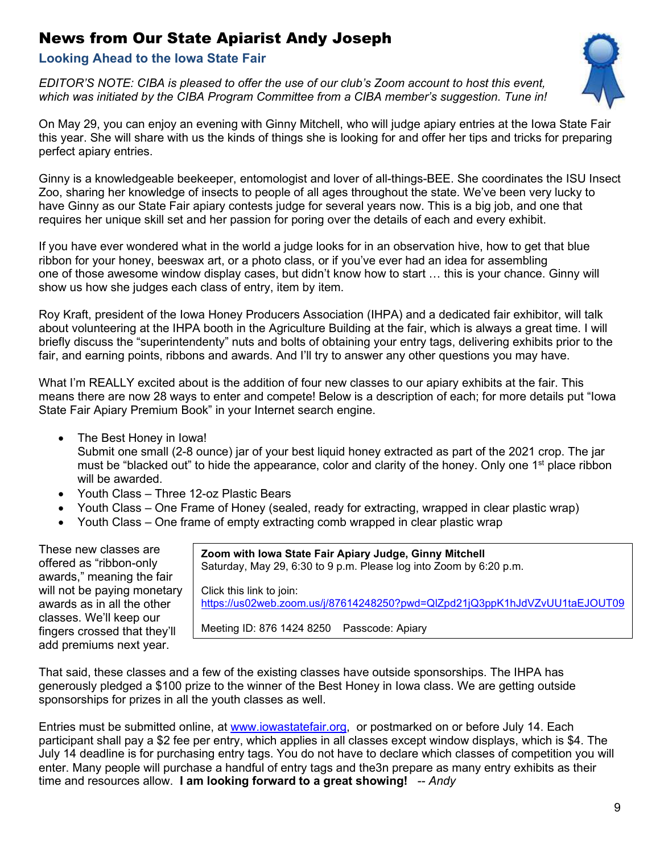# <span id="page-8-0"></span>News from Our State Apiarist Andy Joseph

#### **Looking Ahead to the Iowa State Fair**

*EDITOR'S NOTE: CIBA is pleased to offer the use of our club's Zoom account to host this event, which was initiated by the CIBA Program Committee from a CIBA member's suggestion. Tune in!* 



On May 29, you can enjoy an evening with Ginny Mitchell, who will judge apiary entries at the Iowa State Fair this year. She will share with us the kinds of things she is looking for and offer her tips and tricks for preparing perfect apiary entries.

Ginny is a knowledgeable beekeeper, entomologist and lover of all-things-BEE. She coordinates the ISU Insect Zoo, sharing her knowledge of insects to people of all ages throughout the state. We've been very lucky to have Ginny as our State Fair apiary contests judge for several years now. This is a big job, and one that requires her unique skill set and her passion for poring over the details of each and every exhibit.

If you have ever wondered what in the world a judge looks for in an observation hive, how to get that blue ribbon for your honey, beeswax art, or a photo class, or if you've ever had an idea for assembling one of those awesome window display cases, but didn't know how to start … this is your chance. Ginny will show us how she judges each class of entry, item by item.

Roy Kraft, president of the Iowa Honey Producers Association (IHPA) and a dedicated fair exhibitor, will talk about volunteering at the IHPA booth in the Agriculture Building at the fair, which is always a great time. I will briefly discuss the "superintendenty" nuts and bolts of obtaining your entry tags, delivering exhibits prior to the fair, and earning points, ribbons and awards. And I'll try to answer any other questions you may have.

What I'm REALLY excited about is the addition of four new classes to our apiary exhibits at the fair. This means there are now 28 ways to enter and compete! Below is a description of each; for more details put "Iowa State Fair Apiary Premium Book" in your Internet search engine.

The Best Honey in Iowa!

Submit one small (2-8 ounce) jar of your best liquid honey extracted as part of the 2021 crop. The jar must be "blacked out" to hide the appearance, color and clarity of the honey. Only one 1<sup>st</sup> place ribbon will be awarded.

- Youth Class Three 12-oz Plastic Bears
- Youth Class One Frame of Honey (sealed, ready for extracting, wrapped in clear plastic wrap)
- Youth Class One frame of empty extracting comb wrapped in clear plastic wrap

These new classes are offered as "ribbon-only awards," meaning the fair will not be paying monetary awards as in all the other classes. We'll keep our fingers crossed that they'll add premiums next year.

**Zoom with Iowa State Fair Apiary Judge, Ginny Mitchell**  Saturday, May 29, 6:30 to 9 p.m. Please log into Zoom by 6:20 p.m.

Click this link to join:

<https://us02web.zoom.us/j/87614248250?pwd=QlZpd21jQ3ppK1hJdVZvUU1taEJOUT09>

Meeting ID: 876 1424 8250 Passcode: Apiary

That said, these classes and a few of the existing classes have outside sponsorships. The IHPA has generously pledged a \$100 prize to the winner of the Best Honey in Iowa class. We are getting outside sponsorships for prizes in all the youth classes as well.

Entries must be submitted online, at [www.iowastatefair.org,](http://www.iowastatefair.org/) or postmarked on or before July 14. Each participant shall pay a \$2 fee per entry, which applies in all classes except window displays, which is \$4. The July 14 deadline is for purchasing entry tags. You do not have to declare which classes of competition you will enter. Many people will purchase a handful of entry tags and the3n prepare as many entry exhibits as their time and resources allow. **I am looking forward to a great showing!** -- *Andy*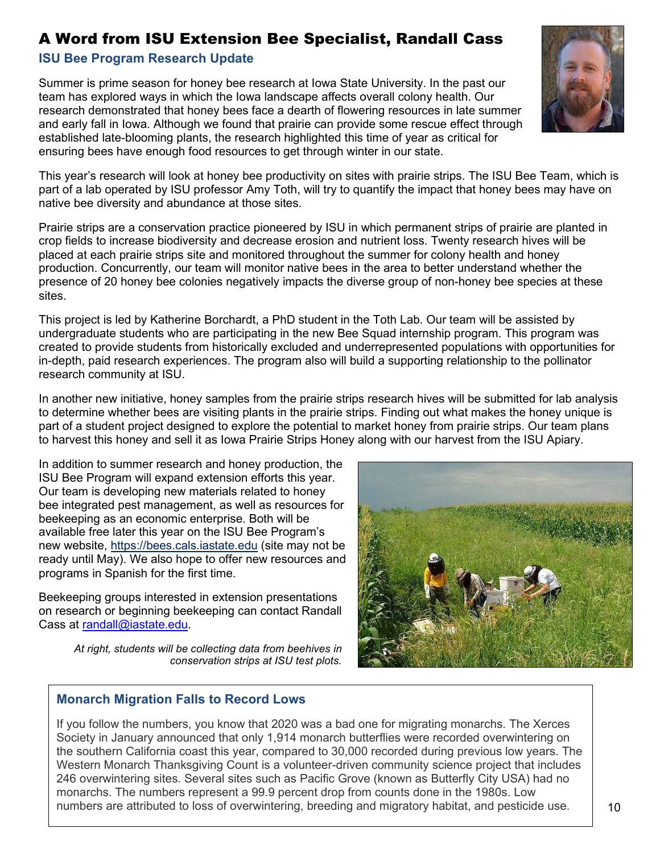# <span id="page-9-0"></span>A Word from ISU Extension Bee Specialist, Randall Cass

## **ISU Bee Program Research Update**

Summer is prime season for honey bee research at Iowa State University. In the past our team has explored ways in which the Iowa landscape affects overall colony health. Our research demonstrated that honey bees face a dearth of flowering resources in late summer and early fall in Iowa. Although we found that prairie can provide some rescue effect through established late-blooming plants, the research highlighted this time of year as critical for ensuring bees have enough food resources to get through winter in our state.



This year's research will look at honey bee productivity on sites with prairie strips. The ISU Bee Team, which is part of a lab operated by ISU professor Amy Toth, will try to quantify the impact that honey bees may have on native bee diversity and abundance at those sites.

Prairie strips are a conservation practice pioneered by ISU in which permanent strips of prairie are planted in crop fields to increase biodiversity and decrease erosion and nutrient loss. Twenty research hives will be placed at each prairie strips site and monitored throughout the summer for colony health and honey production. Concurrently, our team will monitor native bees in the area to better understand whether the presence of 20 honey bee colonies negatively impacts the diverse group of non-honey bee species at these sites.

This project is led by Katherine Borchardt, a PhD student in the Toth Lab. Our team will be assisted by undergraduate students who are participating in the new Bee Squad internship program. This program was created to provide students from historically excluded and underrepresented populations with opportunities for in-depth, paid research experiences. The program also will build a supporting relationship to the pollinator research community at ISU.

In another new initiative, honey samples from the prairie strips research hives will be submitted for lab analysis to determine whether bees are visiting plants in the prairie strips. Finding out what makes the honey unique is part of a student project designed to explore the potential to market honey from prairie strips. Our team plans to harvest this honey and sell it as Iowa Prairie Strips Honey along with our harvest from the ISU Apiary.

In addition to summer research and honey production, the ISU Bee Program will expand extension efforts this year. Our team is developing new materials related to honey bee integrated pest management, as well as resources for beekeeping as an economic enterprise. Both will be available free later this year on the ISU Bee Program's new website, [https://bees.cals.iastate.edu](https://bees.cals.iastate.edu/) (site may not be ready until May). We also hope to offer new resources and programs in Spanish for the first time.

Beekeeping groups interested in extension presentations on research or beginning beekeeping can contact Randall Cass at [randall@iastate.edu.](mailto:randall@iastate.edu)

*At right, students will be collecting data from beehives in conservation strips at ISU test plots.* 

#### **Monarch Migration Falls to Record Lows**

If you follow the numbers, you know that 2020 was a bad one for migrating monarchs. The Xerces Society in January announced that only 1,914 monarch butterflies were recorded overwintering on the southern California coast this year, compared to 30,000 recorded during previous low years. The Western Monarch Thanksgiving Count is a volunteer-driven community science project that includes 246 overwintering sites. Several sites such as Pacific Grove (known as Butterfly City USA) had no monarchs. The numbers represent a 99.9 percent drop from counts done in the 1980s. Low numbers are attributed to loss of overwintering, breeding and migratory habitat, and pesticide use.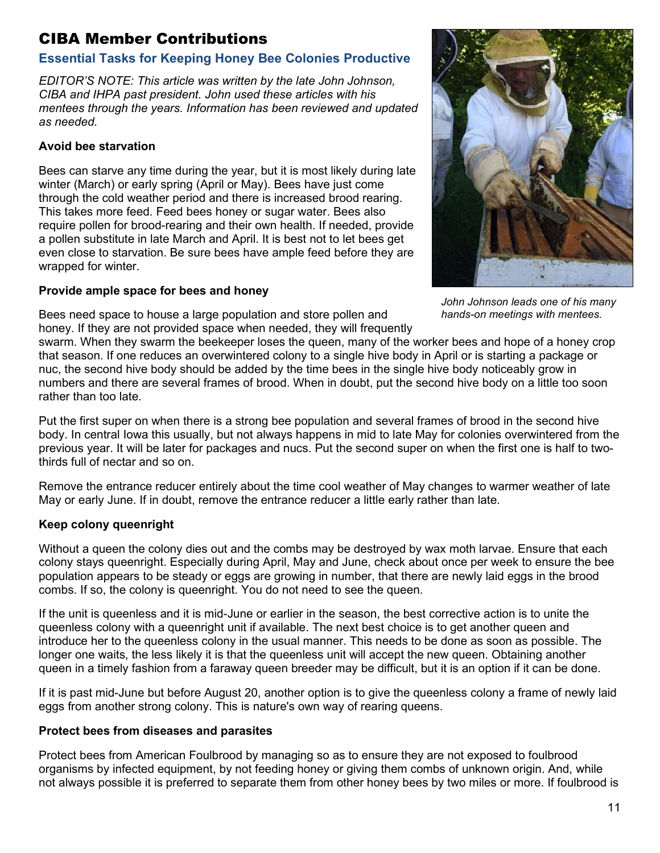# <span id="page-10-0"></span>CIBA Member Contributions

## <span id="page-10-1"></span>**Essential Tasks for Keeping Honey Bee Colonies Productive**

*EDITOR'S NOTE: This article was written by the late John Johnson, CIBA and IHPA past president. John used these articles with his mentees through the years. Information has been reviewed and updated as needed.* 

#### **Avoid bee starvation**

Bees can starve any time during the year, but it is most likely during late winter (March) or early spring (April or May). Bees have just come through the cold weather period and there is increased brood rearing. This takes more feed. Feed bees honey or sugar water. Bees also require pollen for brood-rearing and their own health. If needed, provide a pollen substitute in late March and April. It is best not to let bees get even close to starvation. Be sure bees have ample feed before they are wrapped for winter.

#### **Provide ample space for bees and honey**

Bees need space to house a large population and store pollen and honey. If they are not provided space when needed, they will frequently



*John Johnson leads one of his many hands-on meetings with mentees.* 

swarm. When they swarm the beekeeper loses the queen, many of the worker bees and hope of a honey crop that season. If one reduces an overwintered colony to a single hive body in April or is starting a package or nuc, the second hive body should be added by the time bees in the single hive body noticeably grow in numbers and there are several frames of brood. When in doubt, put the second hive body on a little too soon rather than too late.

Put the first super on when there is a strong bee population and several frames of brood in the second hive body. In central Iowa this usually, but not always happens in mid to late May for colonies overwintered from the previous year. It will be later for packages and nucs. Put the second super on when the first one is half to twothirds full of nectar and so on.

Remove the entrance reducer entirely about the time cool weather of May changes to warmer weather of late May or early June. If in doubt, remove the entrance reducer a little early rather than late.

## **Keep colony queenright**

Without a queen the colony dies out and the combs may be destroyed by wax moth larvae. Ensure that each colony stays queenright. Especially during April, May and June, check about once per week to ensure the bee population appears to be steady or eggs are growing in number, that there are newly laid eggs in the brood combs. If so, the colony is queenright. You do not need to see the queen.

If the unit is queenless and it is mid-June or earlier in the season, the best corrective action is to unite the queenless colony with a queenright unit if available. The next best choice is to get another queen and introduce her to the queenless colony in the usual manner. This needs to be done as soon as possible. The longer one waits, the less likely it is that the queenless unit will accept the new queen. Obtaining another queen in a timely fashion from a faraway queen breeder may be difficult, but it is an option if it can be done.

If it is past mid-June but before August 20, another option is to give the queenless colony a frame of newly laid eggs from another strong colony. This is nature's own way of rearing queens.

#### **Protect bees from diseases and parasites**

Protect bees from American Foulbrood by managing so as to ensure they are not exposed to foulbrood organisms by infected equipment, by not feeding honey or giving them combs of unknown origin. And, while not always possible it is preferred to separate them from other honey bees by two miles or more. If foulbrood is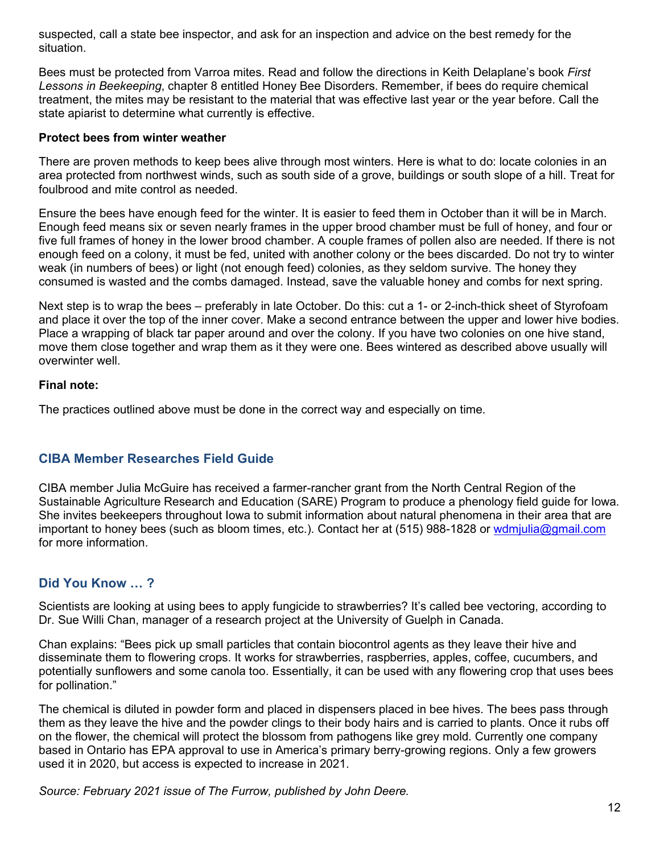suspected, call a state bee inspector, and ask for an inspection and advice on the best remedy for the situation.

Bees must be protected from Varroa mites. Read and follow the directions in Keith Delaplane's book *First Lessons in Beekeeping*, chapter 8 entitled Honey Bee Disorders. Remember, if bees do require chemical treatment, the mites may be resistant to the material that was effective last year or the year before. Call the state apiarist to determine what currently is effective.

#### **Protect bees from winter weather**

There are proven methods to keep bees alive through most winters. Here is what to do: locate colonies in an area protected from northwest winds, such as south side of a grove, buildings or south slope of a hill. Treat for foulbrood and mite control as needed.

Ensure the bees have enough feed for the winter. It is easier to feed them in October than it will be in March. Enough feed means six or seven nearly frames in the upper brood chamber must be full of honey, and four or five full frames of honey in the lower brood chamber. A couple frames of pollen also are needed. If there is not enough feed on a colony, it must be fed, united with another colony or the bees discarded. Do not try to winter weak (in numbers of bees) or light (not enough feed) colonies, as they seldom survive. The honey they consumed is wasted and the combs damaged. Instead, save the valuable honey and combs for next spring.

Next step is to wrap the bees – preferably in late October. Do this: cut a 1- or 2-inch-thick sheet of Styrofoam and place it over the top of the inner cover. Make a second entrance between the upper and lower hive bodies. Place a wrapping of black tar paper around and over the colony. If you have two colonies on one hive stand, move them close together and wrap them as it they were one. Bees wintered as described above usually will overwinter well.

#### **Final note:**

The practices outlined above must be done in the correct way and especially on time.

#### <span id="page-11-0"></span>**CIBA Member Researches Field Guide**

CIBA member Julia McGuire has received a farmer-rancher grant from the North Central Region of the Sustainable Agriculture Research and Education (SARE) Program to produce a phenology field guide for Iowa. She invites beekeepers throughout Iowa to submit information about natural phenomena in their area that are important to honey bees (such as bloom times, etc.). Contact her at [\(515\) 988-1828](tel:515-988-1828) or [wdmjulia@gmail.com](mailto:wdmjulia@gmail.com) for more information.

#### <span id="page-11-1"></span>**Did You Know … ?**

Scientists are looking at using bees to apply fungicide to strawberries? It's called bee vectoring, according to Dr. Sue Willi Chan, manager of a research project at the University of Guelph in Canada.

Chan explains: "Bees pick up small particles that contain biocontrol agents as they leave their hive and disseminate them to flowering crops. It works for strawberries, raspberries, apples, coffee, cucumbers, and potentially sunflowers and some canola too. Essentially, it can be used with any flowering crop that uses bees for pollination."

The chemical is diluted in powder form and placed in dispensers placed in bee hives. The bees pass through them as they leave the hive and the powder clings to their body hairs and is carried to plants. Once it rubs off on the flower, the chemical will protect the blossom from pathogens like grey mold. Currently one company based in Ontario has EPA approval to use in America's primary berry-growing regions. Only a few growers used it in 2020, but access is expected to increase in 2021.

*Source: February 2021 issue of The Furrow, published by John Deere.*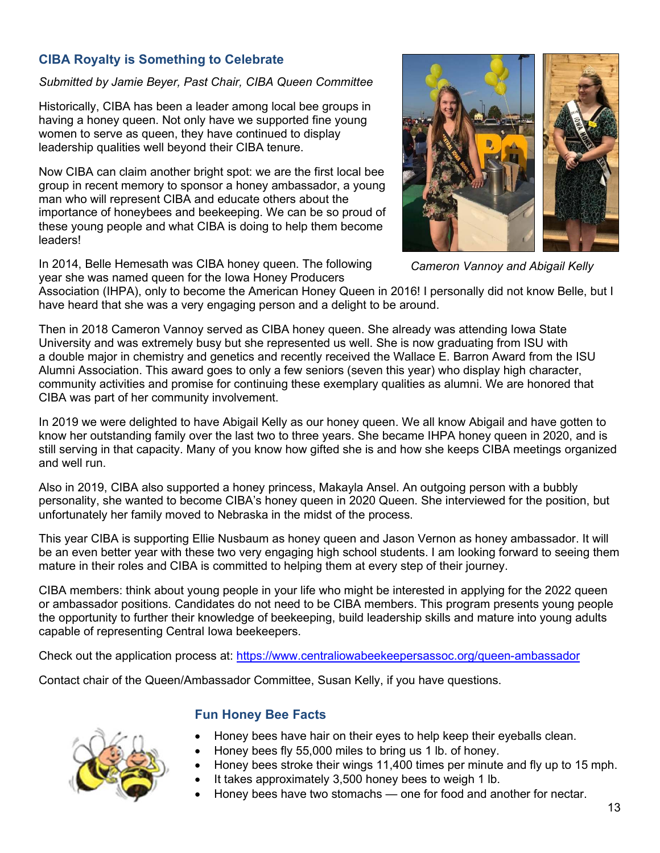## <span id="page-12-0"></span>**CIBA Royalty is Something to Celebrate**

#### *Submitted by Jamie Beyer, Past Chair, CIBA Queen Committee*

Historically, CIBA has been a leader among local bee groups in having a honey queen. Not only have we supported fine young women to serve as queen, they have continued to display leadership qualities well beyond their CIBA tenure.

Now CIBA can claim another bright spot: we are the first local bee group in recent memory to sponsor a honey ambassador, a young man who will represent CIBA and educate others about the importance of honeybees and beekeeping. We can be so proud of these young people and what CIBA is doing to help them become leaders!

In 2014, Belle Hemesath was CIBA honey queen. The following year she was named queen for the Iowa Honey Producers



*Cameron Vannoy and Abigail Kelly* 

Association (IHPA), only to become the American Honey Queen in 2016! I personally did not know Belle, but I have heard that she was a very engaging person and a delight to be around.

Then in 2018 Cameron Vannoy served as CIBA honey queen. She already was attending Iowa State University and was extremely busy but she represented us well. She is now graduating from ISU with a double major in chemistry and genetics and recently received the Wallace E. Barron Award from the ISU Alumni Association. This award goes to only a few seniors (seven this year) who display high character, community activities and promise for continuing these exemplary qualities as alumni. We are honored that CIBA was part of her community involvement.

In 2019 we were delighted to have Abigail Kelly as our honey queen. We all know Abigail and have gotten to know her outstanding family over the last two to three years. She became IHPA honey queen in 2020, and is still serving in that capacity. Many of you know how gifted she is and how she keeps CIBA meetings organized and well run.

Also in 2019, CIBA also supported a honey princess, Makayla Ansel. An outgoing person with a bubbly personality, she wanted to become CIBA's honey queen in 2020 Queen. She interviewed for the position, but unfortunately her family moved to Nebraska in the midst of the process.

This year CIBA is supporting Ellie Nusbaum as honey queen and Jason Vernon as honey ambassador. It will be an even better year with these two very engaging high school students. I am looking forward to seeing them mature in their roles and CIBA is committed to helping them at every step of their journey.

CIBA members: think about young people in your life who might be interested in applying for the 2022 queen or ambassador positions. Candidates do not need to be CIBA members. This program presents young people the opportunity to further their knowledge of beekeeping, build leadership skills and mature into young adults capable of representing Central Iowa beekeepers.

Check out the application process at: <https://www.centraliowabeekeepersassoc.org/queen-ambassador>

Contact chair of the Queen/Ambassador Committee, Susan Kelly, if you have questions.



## **Fun Honey Bee Facts**

- Honey bees have hair on their eyes to help keep their eyeballs clean.
- Honey bees fly 55,000 miles to bring us 1 lb. of honey.
- Honey bees stroke their wings 11,400 times per minute and fly up to 15 mph.
- It takes approximately 3,500 honey bees to weigh 1 lb.
- Honey bees have two stomachs one for food and another for nectar.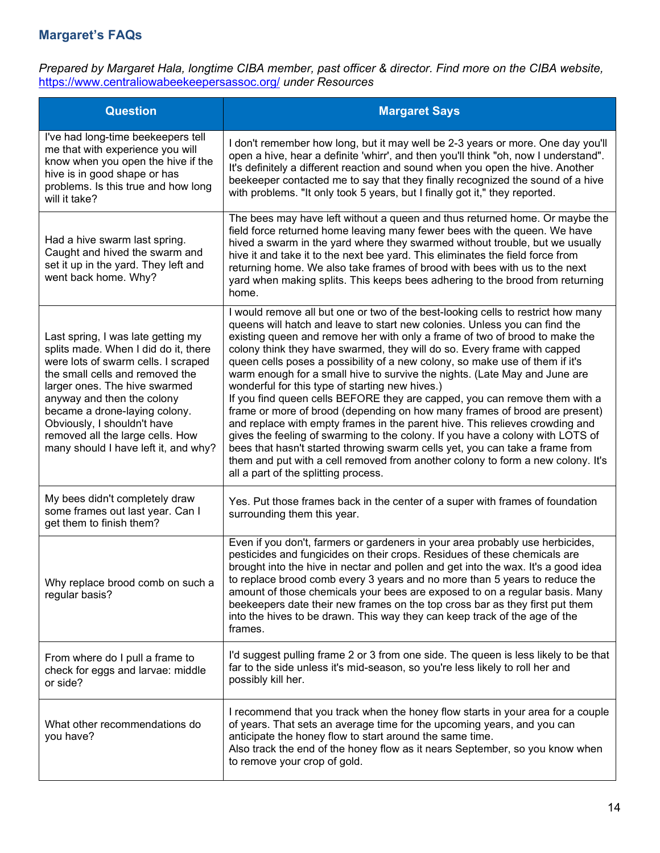# <span id="page-13-0"></span>**Margaret's FAQs**

*Prepared by Margaret Hala, longtime CIBA member, past officer & director. Find more on the CIBA website,*  <https://www.centraliowabeekeepersassoc.org/> *under Resources* 

| <b>Question</b>                                                                                                                                                                                                                                                                                                                                                 | <b>Margaret Says</b>                                                                                                                                                                                                                                                                                                                                                                                                                                                                                                                                                                                                                                                                                                                                                                                                                                                                                                                                                                                                                                                                |
|-----------------------------------------------------------------------------------------------------------------------------------------------------------------------------------------------------------------------------------------------------------------------------------------------------------------------------------------------------------------|-------------------------------------------------------------------------------------------------------------------------------------------------------------------------------------------------------------------------------------------------------------------------------------------------------------------------------------------------------------------------------------------------------------------------------------------------------------------------------------------------------------------------------------------------------------------------------------------------------------------------------------------------------------------------------------------------------------------------------------------------------------------------------------------------------------------------------------------------------------------------------------------------------------------------------------------------------------------------------------------------------------------------------------------------------------------------------------|
| I've had long-time beekeepers tell<br>me that with experience you will<br>know when you open the hive if the<br>hive is in good shape or has<br>problems. Is this true and how long<br>will it take?                                                                                                                                                            | I don't remember how long, but it may well be 2-3 years or more. One day you'll<br>open a hive, hear a definite 'whirr', and then you'll think "oh, now I understand".<br>It's definitely a different reaction and sound when you open the hive. Another<br>beekeeper contacted me to say that they finally recognized the sound of a hive<br>with problems. "It only took 5 years, but I finally got it," they reported.                                                                                                                                                                                                                                                                                                                                                                                                                                                                                                                                                                                                                                                           |
| Had a hive swarm last spring.<br>Caught and hived the swarm and<br>set it up in the yard. They left and<br>went back home. Why?                                                                                                                                                                                                                                 | The bees may have left without a queen and thus returned home. Or maybe the<br>field force returned home leaving many fewer bees with the queen. We have<br>hived a swarm in the yard where they swarmed without trouble, but we usually<br>hive it and take it to the next bee yard. This eliminates the field force from<br>returning home. We also take frames of brood with bees with us to the next<br>yard when making splits. This keeps bees adhering to the brood from returning<br>home.                                                                                                                                                                                                                                                                                                                                                                                                                                                                                                                                                                                  |
| Last spring, I was late getting my<br>splits made. When I did do it, there<br>were lots of swarm cells. I scraped<br>the small cells and removed the<br>larger ones. The hive swarmed<br>anyway and then the colony<br>became a drone-laying colony.<br>Obviously, I shouldn't have<br>removed all the large cells. How<br>many should I have left it, and why? | I would remove all but one or two of the best-looking cells to restrict how many<br>queens will hatch and leave to start new colonies. Unless you can find the<br>existing queen and remove her with only a frame of two of brood to make the<br>colony think they have swarmed, they will do so. Every frame with capped<br>queen cells poses a possibility of a new colony, so make use of them if it's<br>warm enough for a small hive to survive the nights. (Late May and June are<br>wonderful for this type of starting new hives.)<br>If you find queen cells BEFORE they are capped, you can remove them with a<br>frame or more of brood (depending on how many frames of brood are present)<br>and replace with empty frames in the parent hive. This relieves crowding and<br>gives the feeling of swarming to the colony. If you have a colony with LOTS of<br>bees that hasn't started throwing swarm cells yet, you can take a frame from<br>them and put with a cell removed from another colony to form a new colony. It's<br>all a part of the splitting process. |
| My bees didn't completely draw<br>some frames out last year. Can I<br>get them to finish them?                                                                                                                                                                                                                                                                  | Yes. Put those frames back in the center of a super with frames of foundation<br>surrounding them this year.                                                                                                                                                                                                                                                                                                                                                                                                                                                                                                                                                                                                                                                                                                                                                                                                                                                                                                                                                                        |
| Why replace brood comb on such a<br>regular basis?                                                                                                                                                                                                                                                                                                              | Even if you don't, farmers or gardeners in your area probably use herbicides,<br>pesticides and fungicides on their crops. Residues of these chemicals are<br>brought into the hive in nectar and pollen and get into the wax. It's a good idea<br>to replace brood comb every 3 years and no more than 5 years to reduce the<br>amount of those chemicals your bees are exposed to on a regular basis. Many<br>beekeepers date their new frames on the top cross bar as they first put them<br>into the hives to be drawn. This way they can keep track of the age of the<br>frames.                                                                                                                                                                                                                                                                                                                                                                                                                                                                                               |
| From where do I pull a frame to<br>check for eggs and larvae: middle<br>or side?                                                                                                                                                                                                                                                                                | I'd suggest pulling frame 2 or 3 from one side. The queen is less likely to be that<br>far to the side unless it's mid-season, so you're less likely to roll her and<br>possibly kill her.                                                                                                                                                                                                                                                                                                                                                                                                                                                                                                                                                                                                                                                                                                                                                                                                                                                                                          |
| What other recommendations do<br>you have?                                                                                                                                                                                                                                                                                                                      | I recommend that you track when the honey flow starts in your area for a couple<br>of years. That sets an average time for the upcoming years, and you can<br>anticipate the honey flow to start around the same time.<br>Also track the end of the honey flow as it nears September, so you know when<br>to remove your crop of gold.                                                                                                                                                                                                                                                                                                                                                                                                                                                                                                                                                                                                                                                                                                                                              |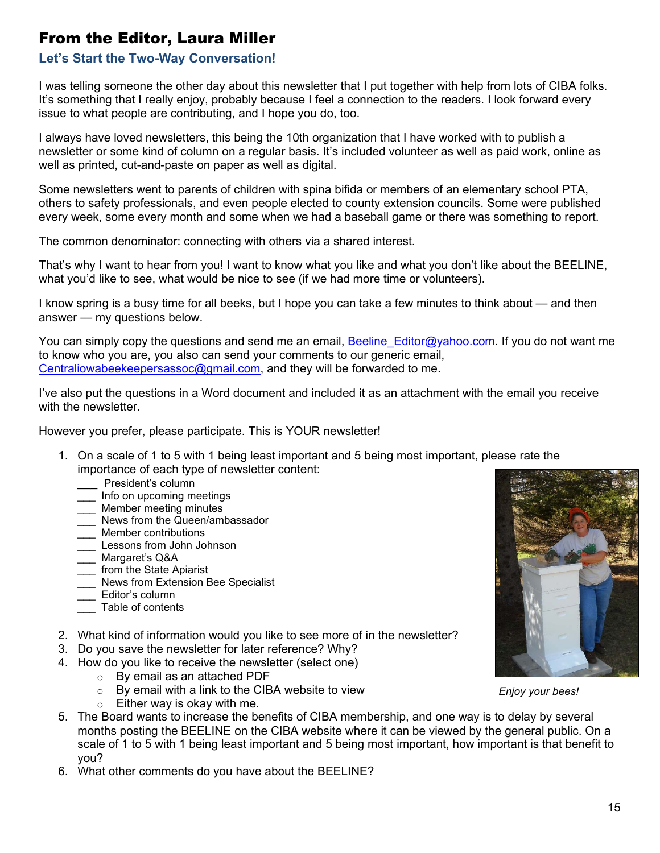# <span id="page-14-0"></span>From the Editor, Laura Miller

#### **Let's Start the Two-Way Conversation!**

I was telling someone the other day about this newsletter that I put together with help from lots of CIBA folks. It's something that I really enjoy, probably because I feel a connection to the readers. I look forward every issue to what people are contributing, and I hope you do, too.

I always have loved newsletters, this being the 10th organization that I have worked with to publish a newsletter or some kind of column on a regular basis. It's included volunteer as well as paid work, online as well as printed, cut-and-paste on paper as well as digital.

Some newsletters went to parents of children with spina bifida or members of an elementary school PTA, others to safety professionals, and even people elected to county extension councils. Some were published every week, some every month and some when we had a baseball game or there was something to report.

The common denominator: connecting with others via a shared interest.

That's why I want to hear from you! I want to know what you like and what you don't like about the BEELINE, what you'd like to see, what would be nice to see (if we had more time or volunteers).

I know spring is a busy time for all beeks, but I hope you can take a few minutes to think about — and then answer — my questions below.

You can simply copy the questions and send me an email, **Beeline** Editor@yahoo.com. If you do not want me to know who you are, you also can send your comments to our generic email, [Centraliowabeekeepersassoc@gmail.com,](mailto:Centraliowabeekeepersassoc@gmail.com) and they will be forwarded to me.

I've also put the questions in a Word document and included it as an attachment with the email you receive with the newsletter.

However you prefer, please participate. This is YOUR newsletter!

- 1. On a scale of 1 to 5 with 1 being least important and 5 being most important, please rate the importance of each type of newsletter content:
	- President's column
	- \_\_\_ Info on upcoming meetings
	- \_\_\_ Member meeting minutes
	- \_\_\_ News from the Queen/ambassador
	- Member contributions
	- \_\_\_ Lessons from John Johnson
	- \_\_\_ Margaret's Q&A
	- from the State Apiarist
	- News from Extension Bee Specialist
	- Editor's column
	- Table of contents
- 2. What kind of information would you like to see more of in the newsletter?
- 3. Do you save the newsletter for later reference? Why?
- 4. How do you like to receive the newsletter (select one)
	- o By email as an attached PDF
	- $\circ$  By email with a link to the CIBA website to view
	- $\circ$  Either way is okay with me.
- 5. The Board wants to increase the benefits of CIBA membership, and one way is to delay by several months posting the BEELINE on the CIBA website where it can be viewed by the general public. On a scale of 1 to 5 with 1 being least important and 5 being most important, how important is that benefit to you?
- 6. What other comments do you have about the BEELINE?



*Enjoy your bees!*